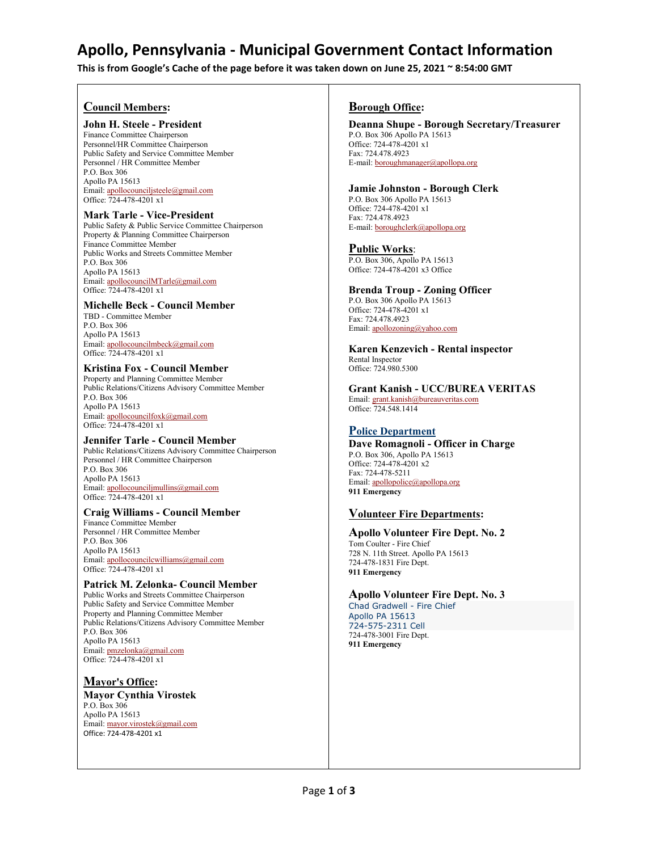# **Apollo, Pennsylvania - Municipal Government Contact Information**

**This is from Google's Cache of the page before it was taken down on June 25, 2021 ~ 8:54:00 GMT**

### **Council Members:**

#### **John H. Steele - President**

Finance Committee Chairperson Personnel/HR Committee Chairperson Public Safety and Service Committee Member Personnel / HR Committee Member P.O. Box 306 Apollo PA 15613 Email[: apollocounciljsteele@gmail.com](mailto:apollocounciljsteele@gmail.com) Office: 724-478-4201 x1

#### **Mark Tarle - Vice-President**

Public Safety & Public Service Committee Chairperson Property & Planning Committee Chairperson Finance Committee Member Public Works and Streets Committee Member P.O. Box 306 Apollo PA 15613 Email[: apollocouncilMTarle@gmail.com](mailto:apollocouncilmTarle@gmail.com) Office: 724-478-4201 x1

#### **Michelle Beck - Council Member**

TBD - Committee Member P.O. Box 306 Apollo PA 15613 Email: [apollocouncilmbeck@gmail.com](mailto:apollocouncilmbeck@gmail.com) Office: 724-478-4201 x1

#### **Kristina Fox - Council Member**

Property and Planning Committee Member Public Relations/Citizens Advisory Committee Member P.O. Box 306 Apollo PA 15613 Email[: apollocouncilfoxk@gmail.com](mailto:apollocouncilfoxk@gmail.com) Office: 724-478-4201 x1

#### **Jennifer Tarle - Council Member**

Public Relations/Citizens Advisory Committee Chairperson Personnel / HR Committee Chairperson P.O. Box 306 Apollo PA 15613 Email[: apollocounciljmullins@gmail.com](mailto:apollocounciljmullins@gmail.com) Office: 724-478-4201 x1

#### **Craig Williams - Council Member** Finance Committee Member Personnel / HR Committee Member P.O. Box 306

Apollo PA 15613 Email[: apollocouncilcwilliams@gmail.com](mailto:apollocouncilcwilliams@gmail.com) Office: 724-478-4201 x1

## **Patrick M. Zelonka- Council Member**

Public Works and Streets Committee Chairperson Public Safety and Service Committee Member Property and Planning Committee Member Public Relations/Citizens Advisory Committee Member P.O. Box 306 Apollo PA 15613 Email[: pmzelonka@gmail.com](mailto:pmzelonka@gmail.com) Office: 724-478-4201 x1

## **Mayor's Office:**

**Mayor Cynthia Virostek**  P.O. Box 306 Apollo PA 15613 Email[: mayor.virostek@gmail.com](mailto:mayor.virostek@gmail.com) Office: 724-478-4201 x1

#### **Borough Office:**

**Deanna Shupe - Borough Secretary/Treasurer** P.O. Box 306 Apollo PA 15613 Office: 724-478-4201 x1 Fax: 724.478.4923 E-mail[: boroughmanager@apollopa.org](mailto:boroughmanager@apollopa.org)

#### **Jamie Johnston - Borough Clerk**

P.O. Box 306 Apollo PA 15613 Office: 724-478-4201 x1 Fax: 724.478.4923 E-mail[: boroughclerk@apollopa.org](mailto:boroughclerk@apollopa.org)

#### **Public Works**:

P.O. Box 306, Apollo PA 15613 Office: 724-478-4201 x3 Office

## **Brenda Troup - Zoning Officer**

P.O. Box 306 Apollo PA 15613 Office: 724-478-4201 x1 Fax: 724.478.4923 Email: [apollozoning@yahoo.com](mailto:apollozoning@yahoo.com) 

**Karen Kenzevich - Rental inspector** Rental Inspector Office: 724.980.5300

**Grant Kanish - UCC/BUREA VERITAS** Email[: grant.kanish@bureauveritas.com](mailto:grant.kanish@bureauveritas.com) Office: 724.548.1414

## **[P](http://apollopa.org/resources/police_dept.htm)[olice Department](http://apollopa.org/resources/police_dept.htm)**

**Dave Romagnoli - Officer in Charge** P.O. Box 306, Apollo PA 15613 Office: 724-478-4201 x2 Fax: 724-478-5211 Email[: apollopolice@apollopa.org](mailto:apollopolice@apollopa.org) **911 Emergency**

## **Volunteer Fire Departments:**

## **Apollo Volunteer Fire Dept. No. 2**

Tom Coulter - Fire Chief 728 N. 11th Street. Apollo PA 15613 724-478-1831 Fire Dept. **911 Emergency**

## **Apollo Volunteer Fire Dept. No. 3**

Chad Gradwell - Fire Chief Apollo PA 15613 724-575-2311 Cell 724-478-3001 Fire Dept. **911 Emergency**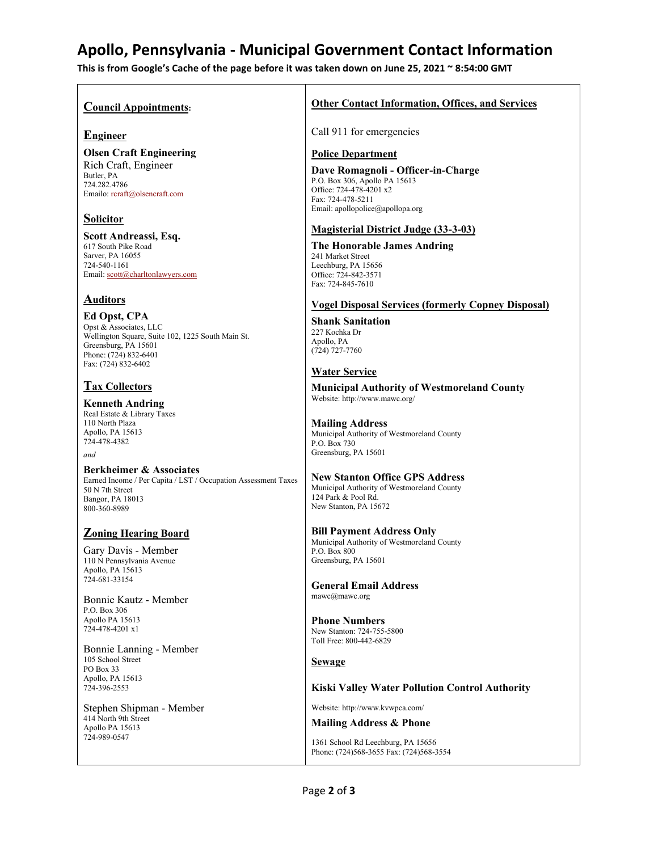# **Apollo, Pennsylvania - Municipal Government Contact Information**

**This is from Google's Cache of the page before it was taken down on June 25, 2021 ~ 8:54:00 GMT**

#### **Council Appointments:**

### **Engineer**

**Olsen Craft Engineering** Rich Craft, Engineer Butler, PA 724.282.4786 Emailo: rcraft@olsencraft.com

## **Solicitor**

**Scott Andreassi, Esq.** 617 South Pike Road Sarver, PA 16055 724-540-1161 Email[: scott@charltonlawyers.com](mailto:scott@charltonlawyers.com)

## **Auditors**

**Ed Opst, CPA** Opst & Associates, LLC Wellington Square, Suite 102, 1225 South Main St. Greensburg, PA 15601 Phone: (724) 832-6401 Fax: (724) 832-6402

## **Tax Collectors**

**Kenneth Andring** Real Estate & Library Taxes 110 North Plaza Apollo, PA 15613 774-478-4382

*and*

**Berkheimer & Associates** Earned Income / Per Capita / LST / Occupation Assessment Taxes 50 N 7th Street Bangor, PA 18013 800-360-8989

## **Zoning Hearing Board**

Gary Davis - Member 110 N Pennsylvania Avenue Apollo, PA 15613 724-681-33154

Bonnie Kautz - Member P.O. Box 306 Apollo PA 15613 724-478-4201 x1

Bonnie Lanning - Member 105 School Street PO Box 33 Apollo, PA 15613 724-396-2553

Stephen Shipman - Member 414 North 9th Street Apollo PA 15613 724-989-0547

## **Other Contact Information, Offices, and Services**

Call 911 for emergencies

#### **Police Department**

**Dave Romagnoli - Officer-in-Charge** P.O. Box 306, Apollo PA 15613 Office: 724-478-4201 x2 Fax: 724-478-5211 Email: apollopolice@apollopa.org

### **Magisterial District Judge (33-3-03)**

**The Honorable James Andring**  241 Market Street Leechburg, PA 15656 Office: 724-842-3571 Fax: 724-845-7610

## **Vogel Disposal Services (formerly Copney Disposal)**

**Shank Sanitation** 227 Kochka Dr Apollo, PA (724) 727-7760

## **Water Service**

**Municipal Authority of Westmoreland County** Website: http://www.mawc.org/

**Mailing Address** Municipal Authority of Westmoreland County P.O. Box 730 Greensburg, PA 15601

#### **New Stanton Office GPS Address** Municipal Authority of Westmoreland County 124 Park & Pool Rd. New Stanton, PA 15672

**Bill Payment Address Only** Municipal Authority of Westmoreland County P.O. Box 800 Greensburg, PA 15601

**General Email Address** mawc@mawc.org

**Phone Numbers** New Stanton: 724-755-5800 Toll Free: 800-442-6829

## **Sewage**

## **Kiski Valley Water Pollution Control Authority**

Website: http://www.kvwpca.com/

## **Mailing Address & Phone**

1361 School Rd Leechburg, PA 15656 Phone: (724)568-3655 Fax: (724)568-3554